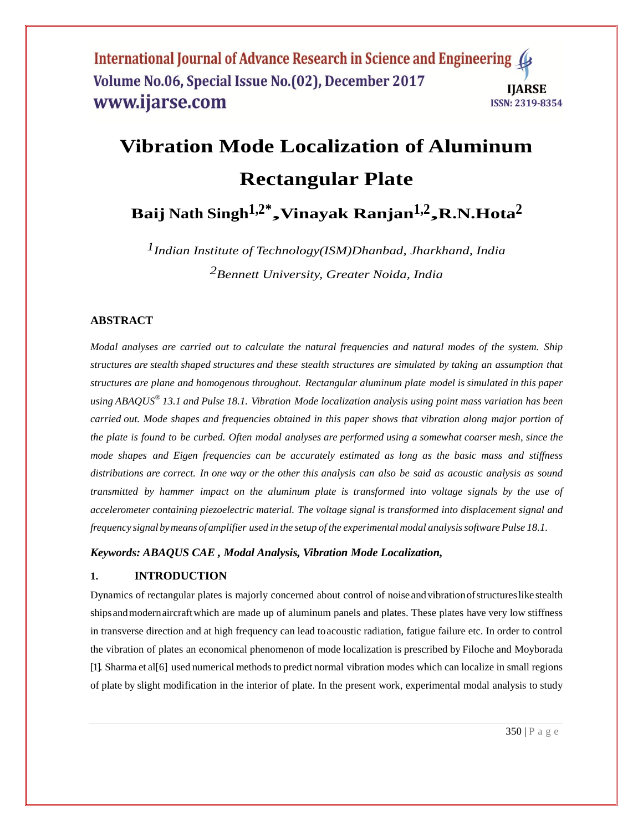# **Vibration Mode Localization of Aluminum Rectangular Plate**

**Baij Nath Singh1,2\* ,Vinayak Ranjan1,2 ,R.N.Hota2**

*1Indian Institute of Technology(ISM)Dhanbad, Jharkhand, India 2Bennett University, Greater Noida, India*

# **ABSTRACT**

*Modal analyses are carried out to calculate the natural frequencies and natural modes of the system. Ship structures are stealth shaped structures and these stealth structures are simulated by taking an assumption that structures are plane and homogenous throughout. Rectangular aluminum plate model is simulated in this paper using ABAQUS® 13.1 and Pulse 18.1. Vibration Mode localization analysis using point mass variation has been carried out. Mode shapes and frequencies obtained in this paper shows that vibration along major portion of the plate is found to be curbed. Often modal analyses are performed using a somewhat coarser mesh, since the mode shapes and Eigen frequencies can be accurately estimated as long as the basic mass and stiffness distributions are correct. In one way or the other this analysis can also be said as acoustic analysis as sound transmitted by hammer impact on the aluminum plate is transformed into voltage signals by the use of accelerometer containing piezoelectric material. The voltage signal is transformed into displacement signal and frequency signal bymeans ofamplifier used in the setup of the experimental modal analysissoftware Pulse 18.1.*

*Keywords: ABAQUS CAE , Modal Analysis, Vibration Mode Localization,* 

#### **1. INTRODUCTION**

Dynamics of rectangular plates is majorly concerned about control of noise andvibrationofstructureslike stealth shipsandmodernaircraftwhich are made up of aluminum panels and plates. These plates have very low stiffness in transverse direction and at high frequency can lead toacoustic radiation, fatigue failure etc. In order to control the vibration of plates an economical phenomenon of mode localization is prescribed by Filoche and Moyborada [\[1\].](#page-12-0) Sharma et al<sup>[6]</sup> used numerical methods to predict normal vibration modes which can localize in small regions of plate by slight modification in the interior of plate. In the present work, experimental modal analysis to study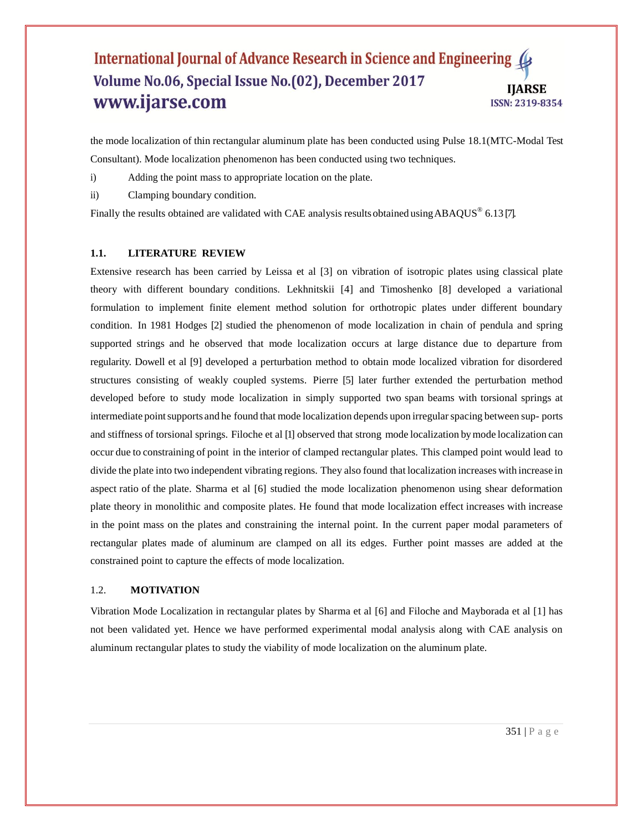the mode localization of thin rectangular aluminum plate has been conducted using Pulse 18.1(MTC-Modal Test Consultant). Mode localization phenomenon has been conducted using two techniques.

- i) Adding the point mass to appropriate location on the plate.
- ii) Clamping boundary condition.

Finally the results obtained are validated with CAE analysis results obtained using ABAQUS<sup>®</sup> 6.13 [\[7\].](#page-12-2)

#### **1.1. LITERATURE REVIEW**

Extensive research has been carried by Leissa et al [\[3\]](#page-12-3) on vibration of isotropic plates using classical plate theory with different boundary conditions. Lekhnitskii [\[4\]](#page-12-4) and Timoshenko [\[8\]](#page-12-5) developed a variational formulation to implement finite element method solution for orthotropic plates under different boundary condition. In 1981 Hodges [\[2\]](#page-12-6) studied the phenomenon of mode localization in chain of pendula and spring supported strings and he observed that mode localization occurs at large distance due to departure from regularity. Dowell et al [\[9\]](#page-12-7) developed a perturbation method to obtain mode localized vibration for disordered structures consisting of weakly coupled systems. Pierre [\[5\]](#page-12-8) later further extended the perturbation method developed before to study mode localization in simply supported two span beams with torsional springs at intermediate point supports and he found that mode localization depends upon irregular spacing between sup- ports and stiffness of torsional springs. Filoche et al [\[1\]](#page-12-0) observed that strong mode localization bymode localization can occur due to constraining of point in the interior of clamped rectangular plates. This clamped point would lead to divide the plate into two independent vibrating regions. They also found that localization increases with increase in aspect ratio of the plate. Sharma et al [\[6\]](#page-12-1) studied the mode localization phenomenon using shear deformation plate theory in monolithic and composite plates. He found that mode localization effect increases with increase in the point mass on the plates and constraining the internal point. In the current paper modal parameters of rectangular plates made of aluminum are clamped on all its edges. Further point masses are added at the constrained point to capture the effects of mode localization.

#### 1.2. **MOTIVATION**

Vibration Mode Localization in rectangular plates by Sharma et al [\[6\]](#page-12-1) and Filoche and Mayborada et al [\[1\]](#page-12-0) has not been validated yet. Hence we have performed experimental modal analysis along with CAE analysis on aluminum rectangular plates to study the viability of mode localization on the aluminum plate.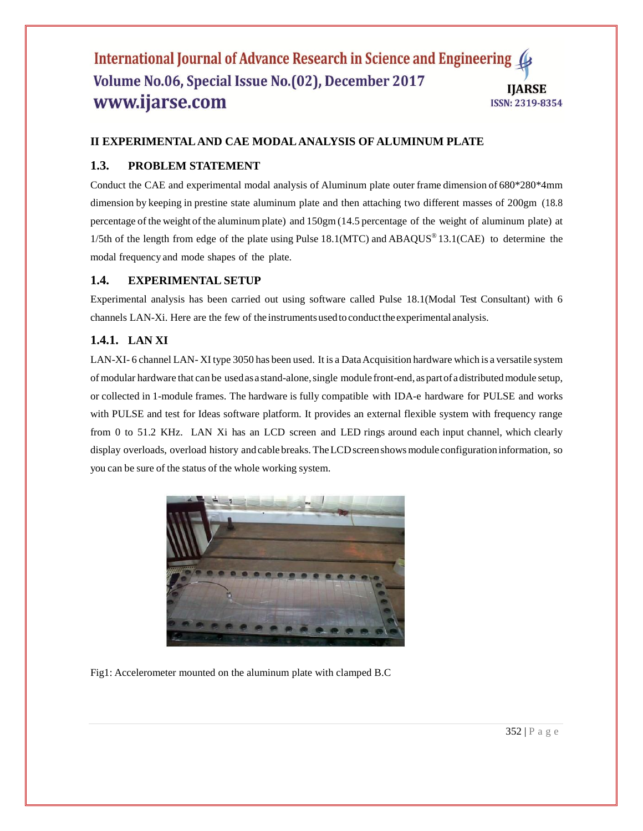# **II EXPERIMENTAL AND CAE MODAL ANALYSIS OF ALUMINUM PLATE**

# **1.3. PROBLEM STATEMENT**

Conduct the CAE and experimental modal analysis of Aluminum plate outer frame dimension of 680\*280\*4mm dimension by keeping in prestine state aluminum plate and then attaching two different masses of 200gm (18.8 percentage of the weight of the aluminum plate) and 150gm (14.5 percentage of the weight of aluminum plate) at 1/5th of the length from edge of the plate using Pulse 18.1(MTC) and ABAQUS<sup>®</sup> 13.1(CAE) to determine the modal frequency and mode shapes of the plate.

# **1.4. EXPERIMENTAL SETUP**

Experimental analysis has been carried out using software called Pulse 18.1(Modal Test Consultant) with 6 channels LAN-Xi. Here are the few of the instrumentsusedtoconductthe experimental analysis.

# **1.4.1. LAN XI**

LAN-XI-6 channel LAN-XI type 3050 has been used. It is a Data Acquisition hardware which is a versatile system of modular hardware that can be usedasastand-alone,single module front-end, aspartofadistributedmodule setup, or collected in 1-module frames. The hardware is fully compatible with IDA-e hardware for PULSE and works with PULSE and test for Ideas software platform. It provides an external flexible system with frequency range from 0 to 51.2 KHz. LAN Xi has an LCD screen and LED rings around each input channel, which clearly display overloads, overload history and cable breaks. The LCD screen shows module configuration information, so you can be sure of the status of the whole working system.



Fig1: Accelerometer mounted on the aluminum plate with clamped B.C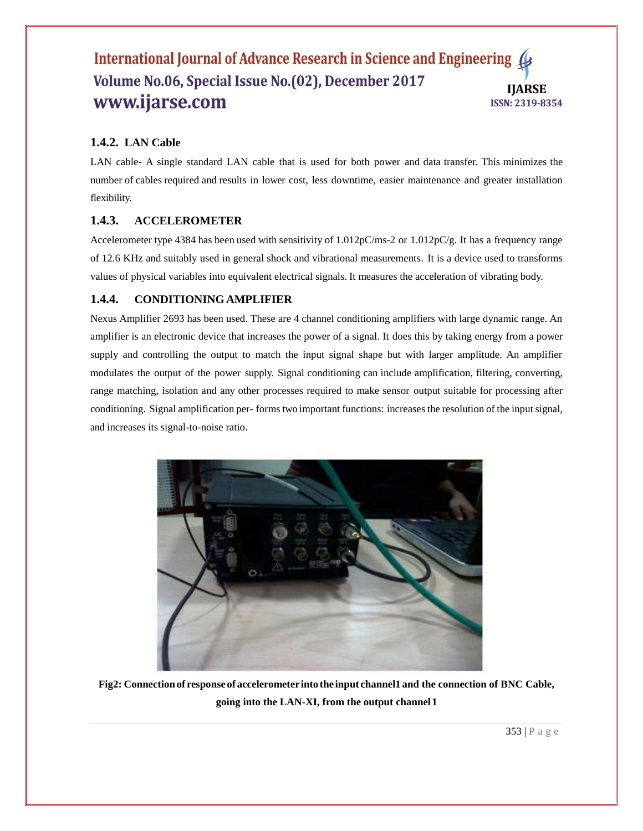# **1.4.2. LAN Cable**

LAN cable- A single standard LAN cable that is used for both power and data transfer. This minimizes the number of cables required and results in lower cost, less downtime, easier maintenance and greater installation flexibility.

# **1.4.3. ACCELEROMETER**

Accelerometer type 4384 has been used with sensitivity of 1.012pC/ms-2 or 1.012pC/g. It has a frequency range of 12.6 KHz and suitably used in general shock and vibrational measurements. It is a device used to transforms values of physical variables into equivalent electrical signals. It measures the acceleration of vibrating body.

# **1.4.4. CONDITIONING AMPLIFIER**

Nexus Amplifier 2693 has been used. These are 4 channel conditioning amplifiers with large dynamic range. An amplifier is an electronic device that increases the power of a signal. It does this by taking energy from a power supply and controlling the output to match the input signal shape but with larger amplitude. An amplifier modulates the output of the power supply. Signal conditioning can include amplification, filtering, converting, range matching, isolation and any other processes required to make sensor output suitable for processing after conditioning. Signal amplification per- forms two important functions: increases the resolution of the input signal, and increases its signal-to-noise ratio.



**Fig2: Connectionof response of accelerometer into the input channel1 and the connection of BNC Cable, going into the LAN-XI, from the output channel1**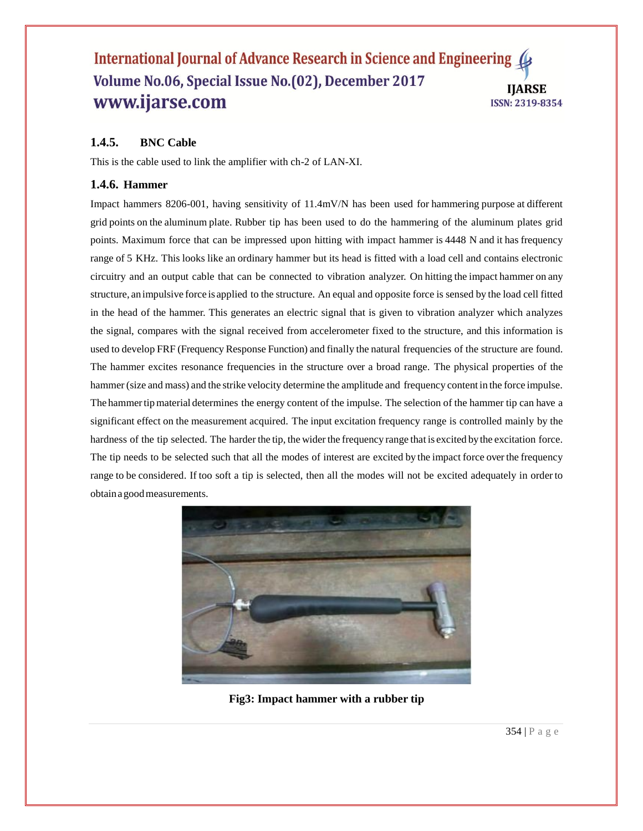# **1.4.5. BNC Cable**

This is the cable used to link the amplifier with ch-2 of LAN-XI.

## **1.4.6. Hammer**

Impact hammers 8206-001, having sensitivity of 11.4mV/N has been used for hammering purpose at different grid points on the aluminum plate. Rubber tip has been used to do the hammering of the aluminum plates grid points. Maximum force that can be impressed upon hitting with impact hammer is 4448 N and it has frequency range of 5 KHz. This looks like an ordinary hammer but its head is fitted with a load cell and contains electronic circuitry and an output cable that can be connected to vibration analyzer. On hitting the impact hammer on any structure, an impulsive force is applied to the structure. An equal and opposite force is sensed by the load cell fitted in the head of the hammer. This generates an electric signal that is given to vibration analyzer which analyzes the signal, compares with the signal received from accelerometer fixed to the structure, and this information is used to develop FRF (Frequency Response Function) and finally the natural frequencies of the structure are found. The hammer excites resonance frequencies in the structure over a broad range. The physical properties of the hammer (size and mass) and the strike velocity determine the amplitude and frequency content in the force impulse. The hammertipmaterial determines the energy content of the impulse. The selection of the hammer tip can have a significant effect on the measurement acquired. The input excitation frequency range is controlled mainly by the hardness of the tip selected. The harder the tip, the wider the frequency range that is excited by the excitation force. The tip needs to be selected such that all the modes of interest are excited by the impact force over the frequency range to be considered. If too soft a tip is selected, then all the modes will not be excited adequately in order to obtainagoodmeasurements.



**Fig3: Impact hammer with a rubber tip**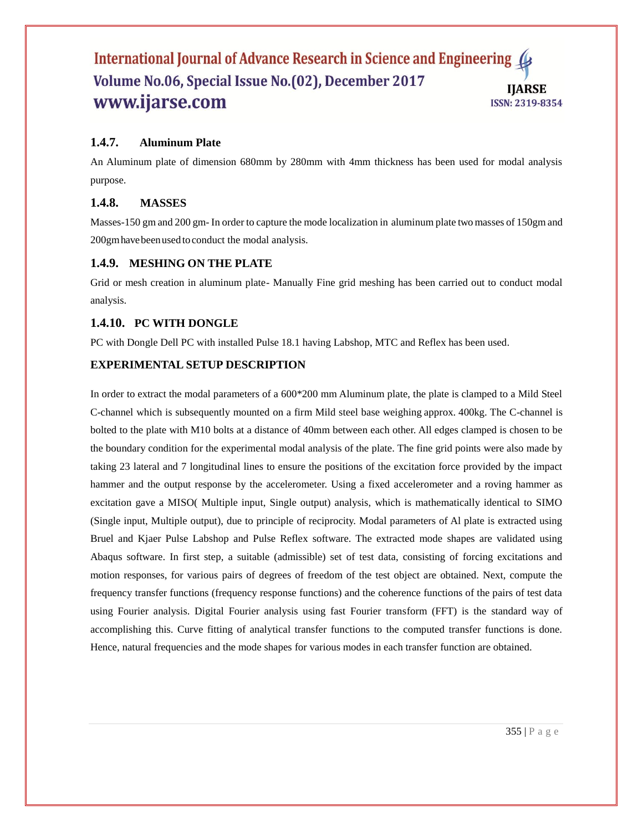# **1.4.7. Aluminum Plate**

An Aluminum plate of dimension 680mm by 280mm with 4mm thickness has been used for modal analysis purpose.

# **1.4.8. MASSES**

Masses-150 gm and 200 gm- In order to capture the mode localization in aluminum plate two masses of 150gm and 200gmhavebeenused toconduct the modal analysis.

# **1.4.9. MESHING ON THE PLATE**

Grid or mesh creation in aluminum plate- Manually Fine grid meshing has been carried out to conduct modal analysis.

# **1.4.10. PC WITH DONGLE**

PC with Dongle Dell PC with installed Pulse 18.1 having Labshop, MTC and Reflex has been used.

# **EXPERIMENTAL SETUP DESCRIPTION**

In order to extract the modal parameters of a 600\*200 mm Aluminum plate, the plate is clamped to a Mild Steel C-channel which is subsequently mounted on a firm Mild steel base weighing approx. 400kg. The C-channel is bolted to the plate with M10 bolts at a distance of 40mm between each other. All edges clamped is chosen to be the boundary condition for the experimental modal analysis of the plate. The fine grid points were also made by taking 23 lateral and 7 longitudinal lines to ensure the positions of the excitation force provided by the impact hammer and the output response by the accelerometer. Using a fixed accelerometer and a roving hammer as excitation gave a MISO( Multiple input, Single output) analysis, which is mathematically identical to SIMO (Single input, Multiple output), due to principle of reciprocity. Modal parameters of Al plate is extracted using Bruel and Kjaer Pulse Labshop and Pulse Reflex software. The extracted mode shapes are validated using Abaqus software. In first step, a suitable (admissible) set of test data, consisting of forcing excitations and motion responses, for various pairs of degrees of freedom of the test object are obtained. Next, compute the frequency transfer functions (frequency response functions) and the coherence functions of the pairs of test data using Fourier analysis. Digital Fourier analysis using fast Fourier transform (FFT) is the standard way of accomplishing this. Curve fitting of analytical transfer functions to the computed transfer functions is done. Hence, natural frequencies and the mode shapes for various modes in each transfer function are obtained.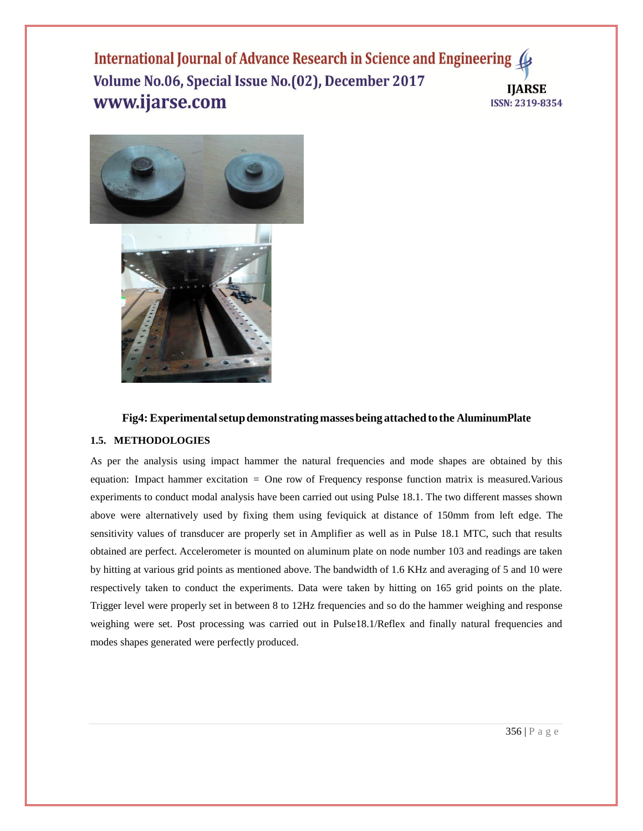

#### **Fig4: Experimentalsetupdemonstratingmassesbeing attachedto the AluminumPlate**

#### **1.5. METHODOLOGIES**

As per the analysis using impact hammer the natural frequencies and mode shapes are obtained by this equation: Impact hammer excitation = One row of Frequency response function matrix is measured.Various experiments to conduct modal analysis have been carried out using Pulse 18.1. The two different masses shown above were alternatively used by fixing them using feviquick at distance of 150mm from left edge. The sensitivity values of transducer are properly set in Amplifier as well as in Pulse 18.1 MTC, such that results obtained are perfect. Accelerometer is mounted on aluminum plate on node number 103 and readings are taken by hitting at various grid points as mentioned above. The bandwidth of 1.6 KHz and averaging of 5 and 10 were respectively taken to conduct the experiments. Data were taken by hitting on 165 grid points on the plate. Trigger level were properly set in between 8 to 12Hz frequencies and so do the hammer weighing and response weighing were set. Post processing was carried out in Pulse18.1/Reflex and finally natural frequencies and modes shapes generated were perfectly produced.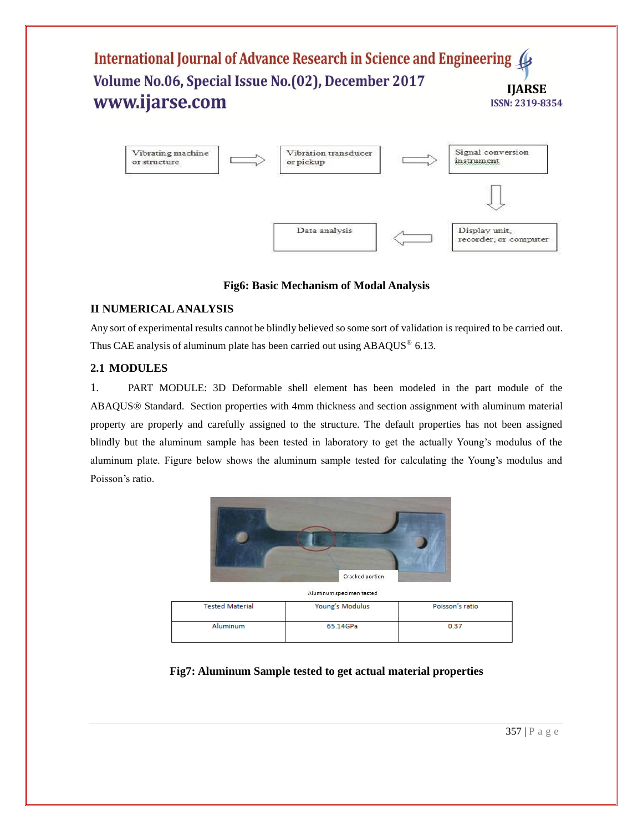

# **Fig6: Basic Mechanism of Modal Analysis**

# **II NUMERICAL ANALYSIS**

Any sort of experimental results cannot be blindly believed so some sort of validation is required to be carried out. Thus CAE analysis of aluminum plate has been carried out using  $ABAQUS^{\circledast}$  6.13.

# **2.1 MODULES**

1. PART MODULE: 3D Deformable shell element has been modeled in the part module of the ABAQUS® Standard. Section properties with 4mm thickness and section assignment with aluminum material property are properly and carefully assigned to the structure. The default properties has not been assigned blindly but the aluminum sample has been tested in laboratory to get the actually Young's modulus of the aluminum plate. Figure below shows the aluminum sample tested for calculating the Young's modulus and Poisson's ratio.



| <b>AIGHTHIGHT SPECIFIELL LESLEG</b> |                 |                 |  |  |
|-------------------------------------|-----------------|-----------------|--|--|
| <b>Tested Material</b>              | Young's Modulus | Poisson's ratio |  |  |
|                                     |                 |                 |  |  |
| Aluminum                            | 65.14GPa        | 0.37            |  |  |
|                                     |                 |                 |  |  |

# **Fig7: Aluminum Sample tested to get actual material properties**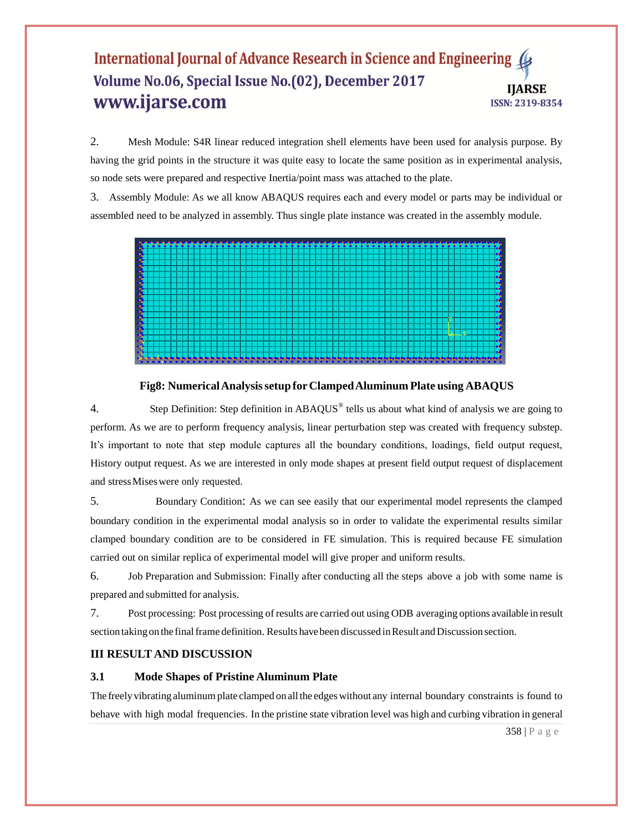2. Mesh Module: S4R linear reduced integration shell elements have been used for analysis purpose. By having the grid points in the structure it was quite easy to locate the same position as in experimental analysis, so node sets were prepared and respective Inertia/point mass was attached to the plate.

3. Assembly Module: As we all know ABAQUS requires each and every model or parts may be individual or assembled need to be analyzed in assembly. Thus single plate instance was created in the assembly module.



**Fig8: NumericalAnalysissetup forClampedAluminum Plate using ABAQUS**

4. Step Definition: Step definition in  $ABAQUS^*$  tells us about what kind of analysis we are going to perform. As we are to perform frequency analysis, linear perturbation step was created with frequency substep. It's important to note that step module captures all the boundary conditions, loadings, field output request, History output request. As we are interested in only mode shapes at present field output request of displacement and stressMiseswere only requested.

5. Boundary Condition: As we can see easily that our experimental model represents the clamped boundary condition in the experimental modal analysis so in order to validate the experimental results similar clamped boundary condition are to be considered in FE simulation. This is required because FE simulation carried out on similar replica of experimental model will give proper and uniform results.

6. Job Preparation and Submission: Finally after conducting all the steps above a job with some name is prepared and submitted for analysis.

7. Post processing: Post processing of results are carried out using ODB averaging options available in result section taking on the final frame definition. Results have been discussed in Result and Discussion section.

# **III RESULT AND DISCUSSION**

#### **3.1 Mode Shapes of Pristine Aluminum Plate**

The freely vibrating aluminum plate clamped on all the edges without any internal boundary constraints is found to behave with high modal frequencies. In the pristine state vibration level was high and curbing vibration in general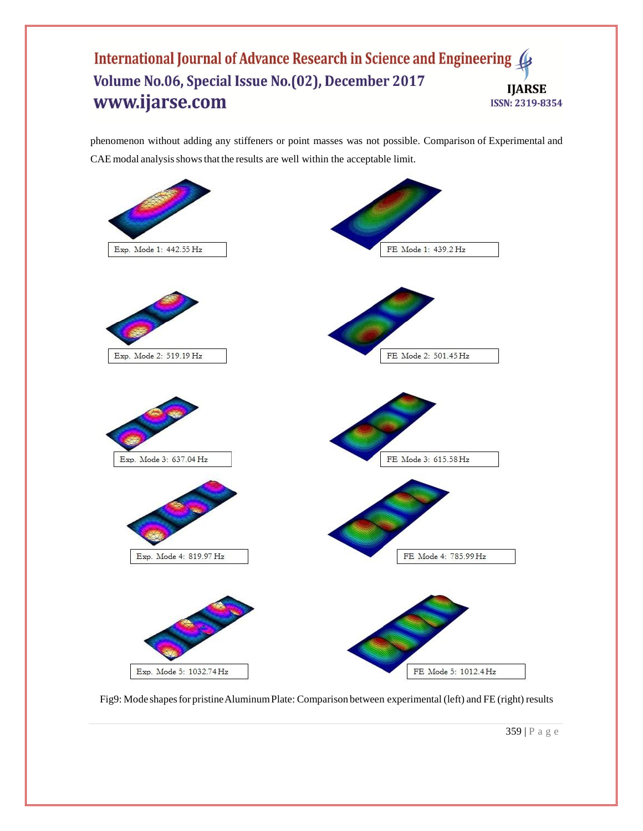phenomenon without adding any stiffeners or point masses was not possible. Comparison of Experimental and CAE modal analysis shows that the results are well within the acceptable limit.



Fig9: Mode shapes for pristine Aluminum Plate: Comparison between experimental (left) and FE (right) results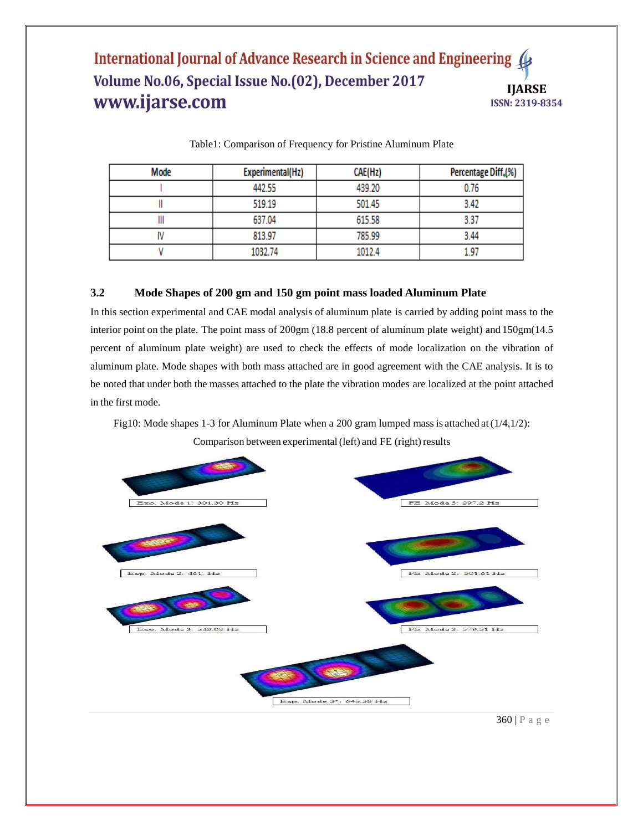| Mode | Experimental(Hz) | CAE(Hz) | Percentage Diff.(%) |
|------|------------------|---------|---------------------|
|      | 442.55           | 439.20  | 0.76                |
|      | 519.19           | 501.45  | 3.42                |
| Ш    | 637.04           | 615.58  | 3.37                |
|      | 813.97           | 785.99  | 3.44                |
|      | 1032.74          | 1012.4  | 1.97                |

Table1: Comparison of Frequency for Pristine Aluminum Plate

# **3.2 Mode Shapes of 200 gm and 150 gm point mass loaded Aluminum Plate**

In this section experimental and CAE modal analysis of aluminum plate is carried by adding point mass to the interior point on the plate. The point mass of 200gm (18.8 percent of aluminum plate weight) and 150gm(14.5 percent of aluminum plate weight) are used to check the effects of mode localization on the vibration of aluminum plate. Mode shapes with both mass attached are in good agreement with the CAE analysis. It is to be noted that under both the masses attached to the plate the vibration modes are localized at the point attached in the first mode.

Fig10: Mode shapes 1-3 for Aluminum Plate when a 200 gram lumped mass is attached at (1/4,1/2): Comparison between experimental (left) and FE (right) results

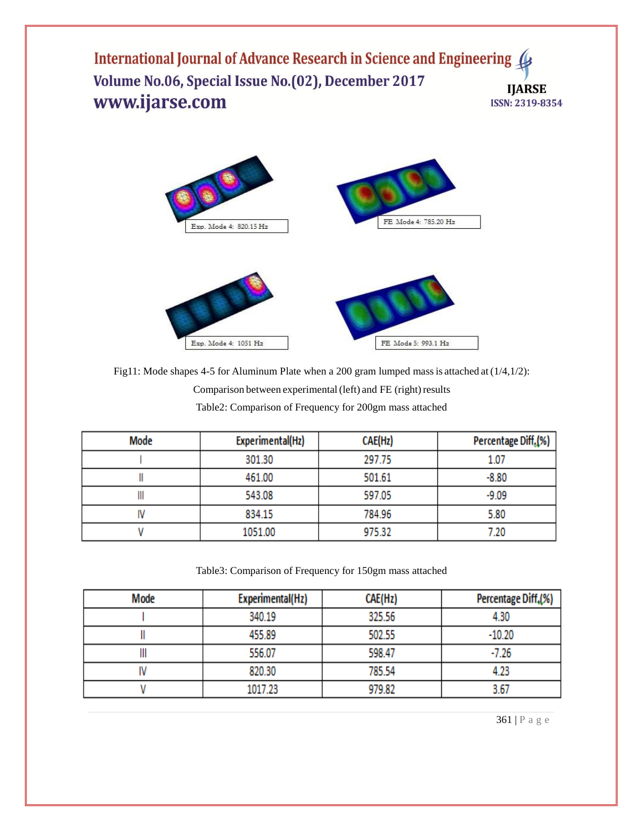

Fig11: Mode shapes 4-5 for Aluminum Plate when a 200 gram lumped mass is attached at (1/4,1/2): Comparison between experimental (left) and FE (right) results Table2: Comparison of Frequency for 200gm mass attached

| Mode | Experimental(Hz) | CAE(Hz) | Percentage Diff <sub>s</sub> (%) |
|------|------------------|---------|----------------------------------|
|      | 301.30           | 297.75  | 1.07                             |
|      | 461.00           | 501.61  | $-8.80$                          |
|      | 543.08           | 597.05  | $-9.09$                          |
|      | 834.15           | 784.96  | 5.80                             |
|      | 1051.00          | 975.32  | 7.20                             |

Table3: Comparison of Frequency for 150gm mass attached

| Mode | Experimental(Hz) | CAE(Hz) | Percentage Diff.(%) |
|------|------------------|---------|---------------------|
|      | 340.19           | 325.56  | 4.30                |
|      | 455.89           | 502.55  | $-10.20$            |
| ш    | 556.07           | 598.47  | $-7.26$             |
|      | 820.30           | 785.54  | 4.23                |
|      | 1017.23          | 979.82  | 3.67                |